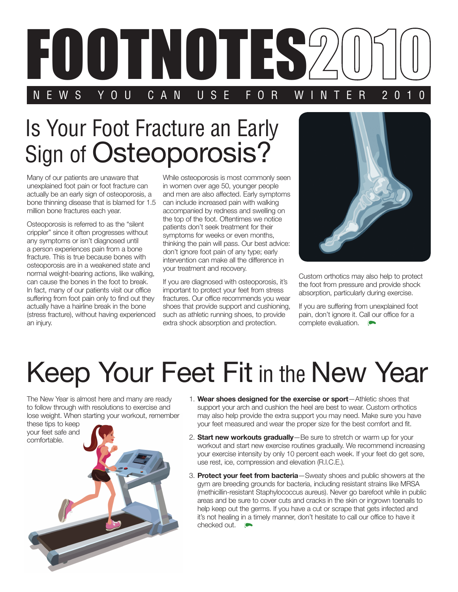

## Is Your Foot Fracture an Early Sign of Osteoporosis?

Many of our patients are unaware that unexplained foot pain or foot fracture can actually be an early sign of osteoporosis, a bone thinning disease that is blamed for 1.5 million bone fractures each year.

Osteoporosis is referred to as the "silent crippler" since it often progresses without any symptoms or isn't diagnosed until a person experiences pain from a bone fracture. This is true because bones with osteoporosis are in a weakened state and normal weight-bearing actions, like walking, can cause the bones in the foot to break. In fact, many of our patients visit our office suffering from foot pain only to find out they actually have a hairline break in the bone (stress fracture), without having experienced an injury.

While osteoporosis is most commonly seen in women over age 50, younger people and men are also affected. Early symptoms can include increased pain with walking accompanied by redness and swelling on the top of the foot. Oftentimes we notice patients don't seek treatment for their symptoms for weeks or even months, thinking the pain will pass. Our best advice: don't ignore foot pain of any type; early intervention can make all the difference in your treatment and recovery.

If you are diagnosed with osteoporosis, it's important to protect your feet from stress fractures. Our office recommends you wear shoes that provide support and cushioning, such as athletic running shoes, to provide extra shock absorption and protection.



Custom orthotics may also help to protect the foot from pressure and provide shock absorption, particularly during exercise.

If you are suffering from unexplained foot pain, don't ignore it. Call our office for a complete evaluation.

## Keep Your Feet Fit in the New Year

The New Year is almost here and many are ready to follow through with resolutions to exercise and lose weight. When starting your workout, remember

these tips to keep your feet safe and



- 1. **Wear shoes designed for the exercise or sport**—Athletic shoes that support your arch and cushion the heel are best to wear. Custom orthotics may also help provide the extra support you may need. Make sure you have your feet measured and wear the proper size for the best comfort and fit.
- 2. **Start new workouts gradually**—Be sure to stretch or warm up for your workout and start new exercise routines gradually. We recommend increasing your exercise intensity by only 10 percent each week. If your feet do get sore, use rest, ice, compression and elevation (R.I.C.E.).
- 3. **Protect your feet from bacteria**—Sweaty shoes and public showers at the gym are breeding grounds for bacteria, including resistant strains like MRSA (methicillin-resistant Staphylococcus aureus). Never go barefoot while in public areas and be sure to cover cuts and cracks in the skin or ingrown toenails to help keep out the germs. If you have a cut or scrape that gets infected and it's not healing in a timely manner, don't hesitate to call our office to have it checked out.